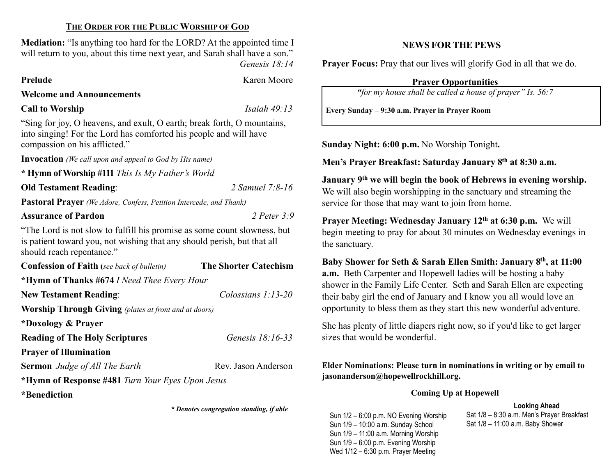### THE ORDER FOR THE PUBLIC WORSHIP OF GOD

Mediation: "Is anything too hard for the LORD? At the appointed time I will return to you, about this time next year, and Sarah shall have a son." Genesis 18:14

Prelude Karen Moore

Welcome and Announcements

# Call to Worship Isaiah 49:13

"Sing for joy, O heavens, and exult, O earth; break forth, O mountains, into singing! For the Lord has comforted his people and will have compassion on his afflicted."

Invocation (We call upon and appeal to God by His name)

\* Hymn of Worship #111 This Is My Father's World

Old Testament Reading: 2 Samuel 7:8-16

Pastoral Prayer (We Adore, Confess, Petition Intercede, and Thank)

# Assurance of Pardon 2 Peter 3:9

"The Lord is not slow to fulfill his promise as some count slowness, but is patient toward you, not wishing that any should perish, but that all should reach repentance."

| <b>Confession of Faith</b> (see back of bulletin)            | <b>The Shorter Catechism</b> |  |  |  |  |
|--------------------------------------------------------------|------------------------------|--|--|--|--|
| *Hymn of Thanks #674 I Need Thee Every Hour                  |                              |  |  |  |  |
| <b>New Testament Reading:</b>                                | Colossians $1:13-20$         |  |  |  |  |
| <b>Worship Through Giving</b> (plates at front and at doors) |                              |  |  |  |  |
| *Doxology & Prayer                                           |                              |  |  |  |  |
| <b>Reading of The Holy Scriptures</b>                        | Genesis 18:16-33             |  |  |  |  |
| <b>Prayer of Illumination</b>                                |                              |  |  |  |  |
| <b>Sermon</b> Judge of All The Earth                         | Rev. Jason Anderson          |  |  |  |  |
| *Hymn of Response #481 Turn Your Eyes Upon Jesus             |                              |  |  |  |  |
| $\mathbf{1} \cdot \mathbf{1}$                                |                              |  |  |  |  |

\*Benediction

\* Denotes congregation standing, if able

# NEWS FOR THE PEWS

Prayer Focus: Pray that our lives will glorify God in all that we do.

Prayer Opportunities

"for my house shall be called a house of prayer" Is. 56:7

Every Sunday – 9:30 a.m. Prayer in Prayer Room

Sunday Night: 6:00 p.m. No Worship Tonight.

Men's Prayer Breakfast: Saturday January 8th at 8:30 a.m.

January 9<sup>th</sup> we will begin the book of Hebrews in evening worship. We will also begin worshipping in the sanctuary and streaming the service for those that may want to join from home.

Prayer Meeting: Wednesday January 12<sup>th</sup> at 6:30 p.m. We will begin meeting to pray for about 30 minutes on Wednesday evenings in the sanctuary.

Baby Shower for Seth & Sarah Ellen Smith: January 8th, at 11:00 a.m. Beth Carpenter and Hopewell ladies will be hosting a baby shower in the Family Life Center. Seth and Sarah Ellen are expecting their baby girl the end of January and I know you all would love an opportunity to bless them as they start this new wonderful adventure.

She has plenty of little diapers right now, so if you'd like to get larger sizes that would be wonderful.

Elder Nominations: Please turn in nominations in writing or by email to jasonanderson@hopewellrockhill.org.

#### Coming Up at Hopewell

# Looking Ahead

Sun 1/2 – 6:00 p.m. NO Evening Worship Sun 1/9 – 10:00 a.m. Sunday School Sun 1/9 – 11:00 a.m. Morning Worship Sun 1/9 – 6:00 p.m. Evening Worship Wed 1/12 – 6:30 p.m. Prayer Meeting

Sat 1/8 – 8:30 a.m. Men's Prayer Breakfast Sat 1/8 – 11:00 a.m. Baby Shower